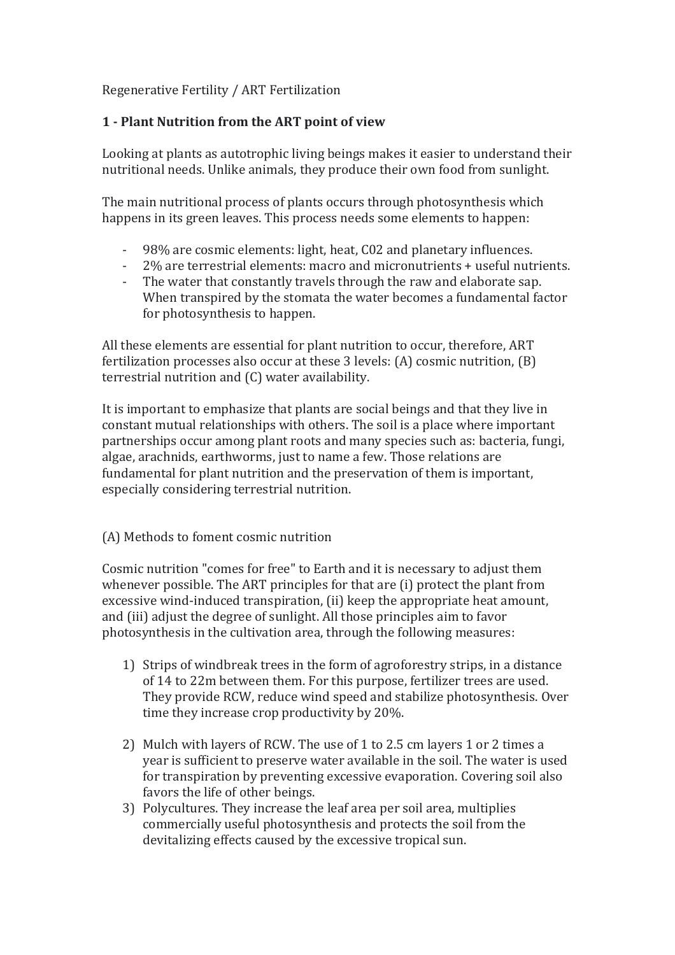### Regenerative Fertility / ART Fertilization

# **1 - Plant Nutrition from the ART point of view**

Looking at plants as autotrophic living beings makes it easier to understand their nutritional needs. Unlike animals, they produce their own food from sunlight.

The main nutritional process of plants occurs through photosynthesis which happens in its green leaves. This process needs some elements to happen:

- 98% are cosmic elements: light, heat, C02 and planetary influences.
- 2% are terrestrial elements: macro and micronutrients + useful nutrients.
- The water that constantly travels through the raw and elaborate sap. When transpired by the stomata the water becomes a fundamental factor for photosynthesis to happen.

All these elements are essential for plant nutrition to occur, therefore, ART fertilization processes also occur at these 3 levels: (A) cosmic nutrition, (B) terrestrial nutrition and (C) water availability.

It is important to emphasize that plants are social beings and that they live in constant mutual relationships with others. The soil is a place where important partnerships occur among plant roots and many species such as: bacteria, fungi, algae, arachnids, earthworms, just to name a few. Those relations are fundamental for plant nutrition and the preservation of them is important, especially considering terrestrial nutrition.

## (A) Methods to foment cosmic nutrition

Cosmic nutrition "comes for free" to Earth and it is necessary to adjust them whenever possible. The ART principles for that are (i) protect the plant from excessive wind-induced transpiration, (ii) keep the appropriate heat amount, and (iii) adjust the degree of sunlight. All those principles aim to favor photosynthesis in the cultivation area, through the following measures:

- 1) Strips of windbreak trees in the form of agroforestry strips, in a distance of 14 to 22m between them. For this purpose, fertilizer trees are used. They provide RCW, reduce wind speed and stabilize photosynthesis. Over time they increase crop productivity by 20%.
- 2) Mulch with layers of RCW. The use of 1 to 2.5 cm layers 1 or 2 times a year is sufficient to preserve water available in the soil. The water is used for transpiration by preventing excessive evaporation. Covering soil also favors the life of other beings.
- 3) Polycultures. They increase the leaf area per soil area, multiplies commercially useful photosynthesis and protects the soil from the devitalizing effects caused by the excessive tropical sun.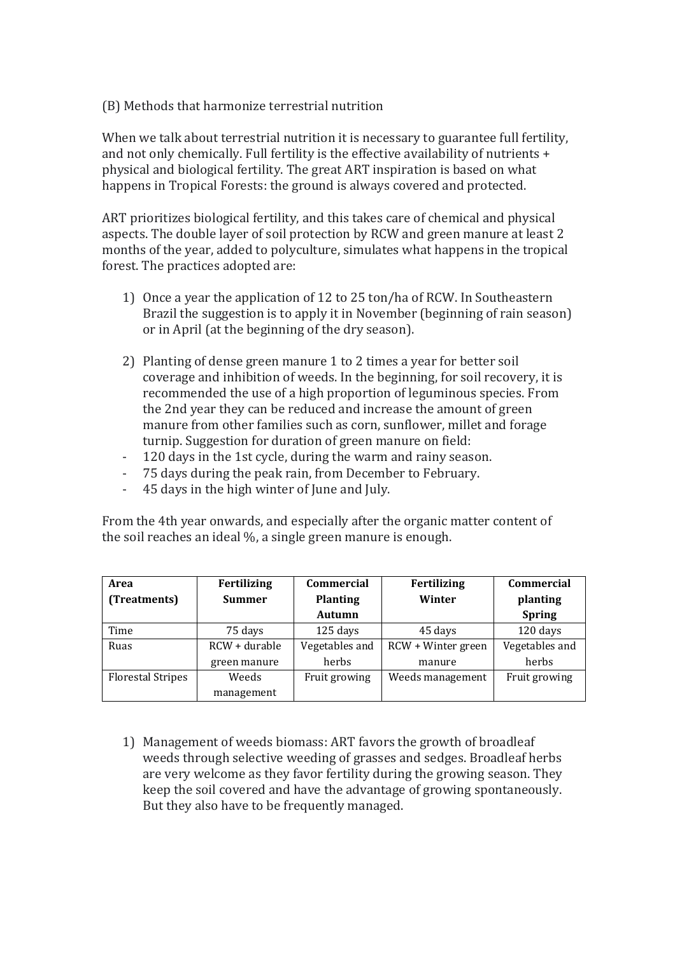### (B) Methods that harmonize terrestrial nutrition

When we talk about terrestrial nutrition it is necessary to guarantee full fertility, and not only chemically. Full fertility is the effective availability of nutrients + physical and biological fertility. The great ART inspiration is based on what happens in Tropical Forests: the ground is always covered and protected.

ART prioritizes biological fertility, and this takes care of chemical and physical aspects. The double layer of soil protection by RCW and green manure at least 2 months of the year, added to polyculture, simulates what happens in the tropical forest. The practices adopted are:

- 1) Once a year the application of 12 to 25 ton/ha of RCW. In Southeastern Brazil the suggestion is to apply it in November (beginning of rain season) or in April (at the beginning of the dry season).
- 2) Planting of dense green manure 1 to 2 times a year for better soil coverage and inhibition of weeds. In the beginning, for soil recovery, it is recommended the use of a high proportion of leguminous species. From the 2nd year they can be reduced and increase the amount of green manure from other families such as corn, sunflower, millet and forage turnip. Suggestion for duration of green manure on field:
- 120 days in the 1st cycle, during the warm and rainy season.
- 75 days during the peak rain, from December to February.
- 45 days in the high winter of June and July.

From the 4th year onwards, and especially after the organic matter content of the soil reaches an ideal %, a single green manure is enough.

| Area                     | Fertilizing   | <b>Commercial</b> | Fertilizing        | <b>Commercial</b> |
|--------------------------|---------------|-------------------|--------------------|-------------------|
| (Treatments)             | <b>Summer</b> | <b>Planting</b>   | Winter             | planting          |
|                          |               | Autumn            |                    | <b>Spring</b>     |
| Time                     | 75 days       | 125 days          | 45 days            | 120 days          |
| Ruas                     | RCW + durable | Vegetables and    | RCW + Winter green | Vegetables and    |
|                          | green manure  | herbs             | manure             | herbs             |
| <b>Florestal Stripes</b> | Weeds         | Fruit growing     | Weeds management   | Fruit growing     |
|                          | management    |                   |                    |                   |

1) Management of weeds biomass: ART favors the growth of broadleaf weeds through selective weeding of grasses and sedges. Broadleaf herbs are very welcome as they favor fertility during the growing season. They keep the soil covered and have the advantage of growing spontaneously. But they also have to be frequently managed.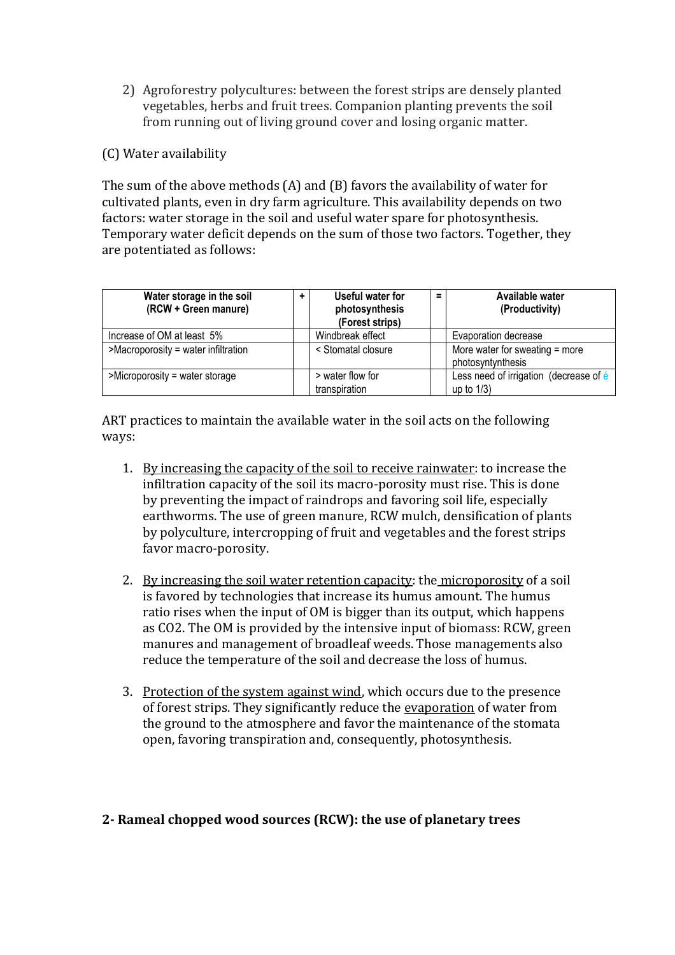- 2) Agroforestry polycultures: between the forest strips are densely planted vegetables, herbs and fruit trees. Companion planting prevents the soil from running out of living ground cover and losing organic matter.
- (C) Water availability

The sum of the above methods (A) and (B) favors the availability of water for cultivated plants, even in dry farm agriculture. This availability depends on two factors: water storage in the soil and useful water spare for photosynthesis. Temporary water deficit depends on the sum of those two factors. Together, they are potentiated as follows:

| Water storage in the soil<br>(RCW + Green manure) |  | Useful water for<br>photosynthesis<br>(Forest strips) | $\equiv$ | Available water<br>(Productivity)                       |  |
|---------------------------------------------------|--|-------------------------------------------------------|----------|---------------------------------------------------------|--|
| Increase of OM at least 5%                        |  | Windbreak effect                                      |          | Evaporation decrease                                    |  |
| >Macroporosity = water infiltration               |  | < Stomatal closure                                    |          | More water for sweating = more<br>photosyntynthesis     |  |
| $>$ Microporosity = water storage                 |  | > water flow for<br>transpiration                     |          | Less need of irrigation (decrease of é<br>up to $1/3$ ) |  |

ART practices to maintain the available water in the soil acts on the following ways:

- 1. By increasing the capacity of the soil to receive rainwater: to increase the infiltration capacity of the soil its macro-porosity must rise. This is done by preventing the impact of raindrops and favoring soil life, especially earthworms. The use of green manure, RCW mulch, densification of plants by polyculture, intercropping of fruit and vegetables and the forest strips favor macro-porosity.
- 2. By increasing the soil water retention capacity: the microporosity of a soil is favored by technologies that increase its humus amount. The humus ratio rises when the input of OM is bigger than its output, which happens as CO2. The OM is provided by the intensive input of biomass: RCW, green manures and management of broadleaf weeds. Those managements also reduce the temperature of the soil and decrease the loss of humus.
- 3. Protection of the system against wind, which occurs due to the presence of forest strips. They significantly reduce the evaporation of water from the ground to the atmosphere and favor the maintenance of the stomata open, favoring transpiration and, consequently, photosynthesis.

### **2- Rameal chopped wood sources (RCW): the use of planetary trees**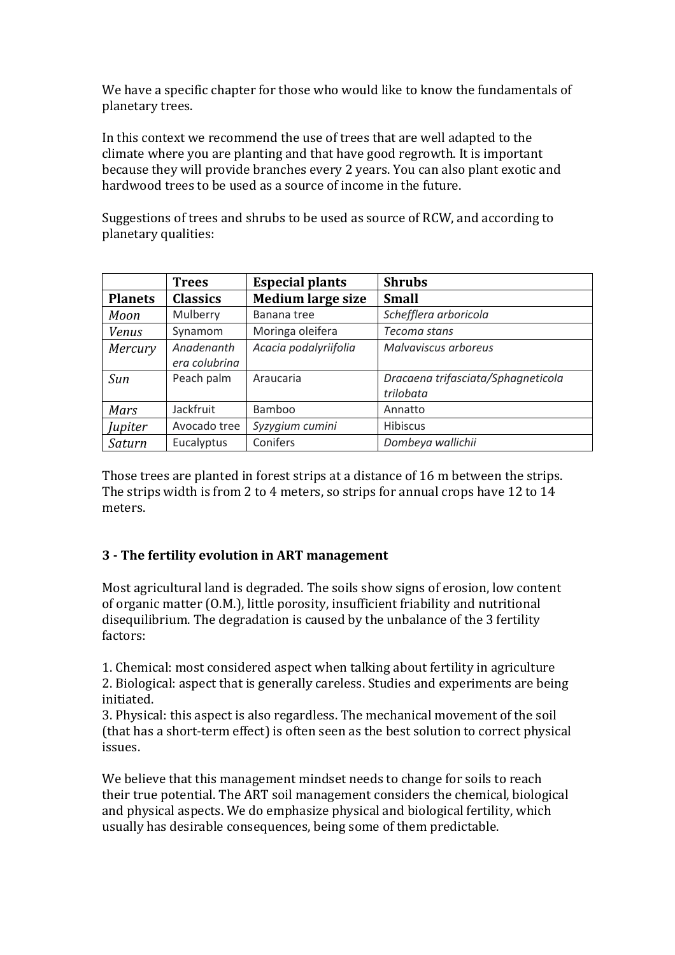We have a specific chapter for those who would like to know the fundamentals of planetary trees.

In this context we recommend the use of trees that are well adapted to the climate where you are planting and that have good regrowth. It is important because they will provide branches every 2 years. You can also plant exotic and hardwood trees to be used as a source of income in the future.

Suggestions of trees and shrubs to be used as source of RCW, and according to planetary qualities:

|                | <b>Trees</b>    | <b>Especial plants</b>   | <b>Shrubs</b>                      |
|----------------|-----------------|--------------------------|------------------------------------|
| <b>Planets</b> | <b>Classics</b> | <b>Medium large size</b> | <b>Small</b>                       |
| Moon           | Mulberry        | Banana tree              | Schefflera arboricola              |
| <b>Venus</b>   | Synamom         | Moringa oleifera         | Tecoma stans                       |
| Mercury        | Anadenanth      | Acacia podalyriifolia    | Malvaviscus arboreus               |
|                | era colubrina   |                          |                                    |
| Sun            | Peach palm      | Araucaria                | Dracaena trifasciata/Sphagneticola |
|                |                 |                          | trilobata                          |
| Mars           | Jackfruit       | Bamboo                   | Annatto                            |
| Jupiter        | Avocado tree    | Syzygium cumini          | <b>Hibiscus</b>                    |
| Saturn         | Eucalyptus      | Conifers                 | Dombeya wallichii                  |

Those trees are planted in forest strips at a distance of 16 m between the strips. The strips width is from 2 to 4 meters, so strips for annual crops have 12 to 14 meters.

## **3 - The fertility evolution in ART management**

Most agricultural land is degraded. The soils show signs of erosion, low content of organic matter (O.M.), little porosity, insufficient friability and nutritional disequilibrium. The degradation is caused by the unbalance of the 3 fertility factors:

1. Chemical: most considered aspect when talking about fertility in agriculture 2. Biological: aspect that is generally careless. Studies and experiments are being initiated.

3. Physical: this aspect is also regardless. The mechanical movement of the soil (that has a short-term effect) is often seen as the best solution to correct physical issues.

We believe that this management mindset needs to change for soils to reach their true potential. The ART soil management considers the chemical, biological and physical aspects. We do emphasize physical and biological fertility, which usually has desirable consequences, being some of them predictable.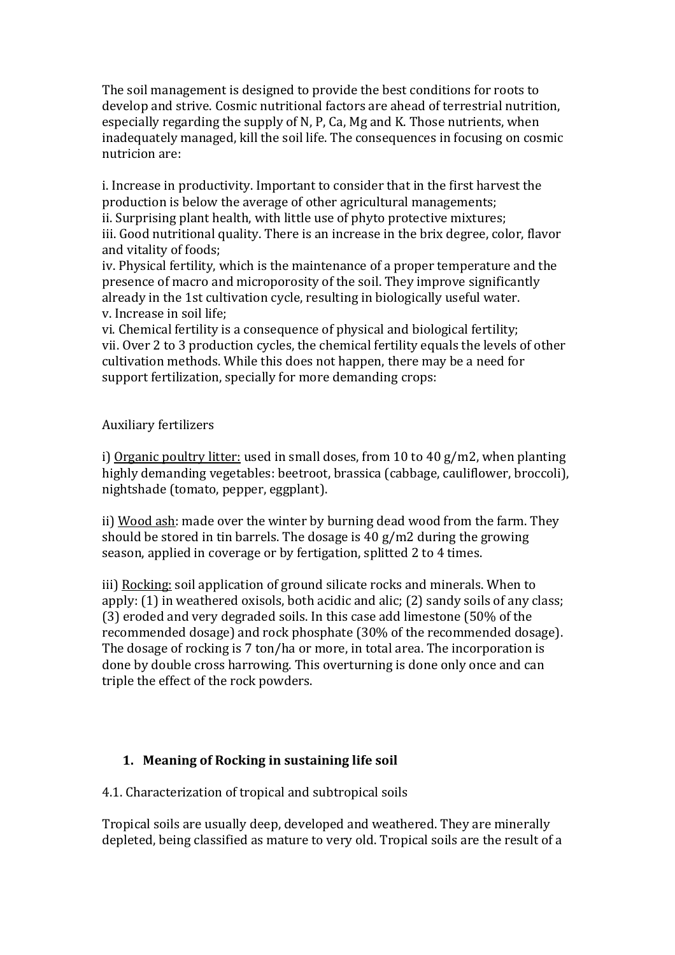The soil management is designed to provide the best conditions for roots to develop and strive. Cosmic nutritional factors are ahead of terrestrial nutrition, especially regarding the supply of N, P, Ca, Mg and K. Those nutrients, when inadequately managed, kill the soil life. The consequences in focusing on cosmic nutricion are:

i. Increase in productivity. Important to consider that in the first harvest the production is below the average of other agricultural managements; ii. Surprising plant health, with little use of phyto protective mixtures;

iii. Good nutritional quality. There is an increase in the brix degree, color, flavor and vitality of foods;

iv. Physical fertility, which is the maintenance of a proper temperature and the presence of macro and microporosity of the soil. They improve significantly already in the 1st cultivation cycle, resulting in biologically useful water. v. Increase in soil life;

vi. Chemical fertility is a consequence of physical and biological fertility; vii. Over 2 to 3 production cycles, the chemical fertility equals the levels of other cultivation methods. While this does not happen, there may be a need for support fertilization, specially for more demanding crops:

Auxiliary fertilizers

i) Organic poultry litter: used in small doses, from 10 to 40 g/m2, when planting highly demanding vegetables: beetroot, brassica (cabbage, cauliflower, broccoli), nightshade (tomato, pepper, eggplant).

ii) Wood ash: made over the winter by burning dead wood from the farm. They should be stored in tin barrels. The dosage is 40 g/m2 during the growing season, applied in coverage or by fertigation, splitted 2 to 4 times.

iii) Rocking: soil application of ground silicate rocks and minerals. When to apply: (1) in weathered oxisols, both acidic and alic; (2) sandy soils of any class; (3) eroded and very degraded soils. In this case add limestone (50% of the recommended dosage) and rock phosphate (30% of the recommended dosage). The dosage of rocking is 7 ton/ha or more, in total area. The incorporation is done by double cross harrowing. This overturning is done only once and can triple the effect of the rock powders.

## **1. Meaning of Rocking in sustaining life soil**

4.1. Characterization of tropical and subtropical soils

Tropical soils are usually deep, developed and weathered. They are minerally depleted, being classified as mature to very old. Tropical soils are the result of a